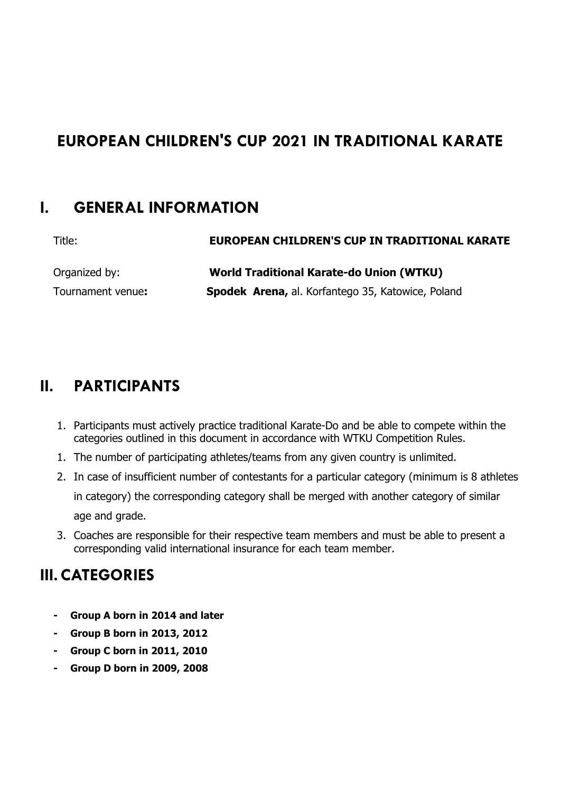### **EUROPEAN CHILDREN'S CUP 2021 IN TRADITIONAL KARATE**

## **I. GENERAL INFORMATION**

| Title:            | EUROPEAN CHILDREN'S CUP IN TRADITIONAL KARATE            |
|-------------------|----------------------------------------------------------|
| Organized by:     | <b>World Traditional Karate-do Union (WTKU)</b>          |
| Tournament venue: | <b>Spodek Arena, al. Korfantego 35, Katowice, Poland</b> |

### **II. PARTICIPANTS**

- 1. Participants must actively practice traditional Karate-Do and be able to compete within the categories outlined in this document in accordance with WTKU Competition Rules.
- 1. The number of participating athletes/teams from any given country is unlimited.
- 2. In case of insufficient number of contestants for a particular category (minimum is 8 athletes in category) the corresponding category shall be merged with another category of similar age and grade.
- 3. Coaches are responsible for their respective team members and must be able to present a corresponding valid international insurance for each team member.

## **III.CATEGORIES**

- **- Group A born in 2014 and later**
- **- Group B born in 2013, 2012**
- **- Group C born in 2011, 2010**
- **- Group D born in 2009, 2008**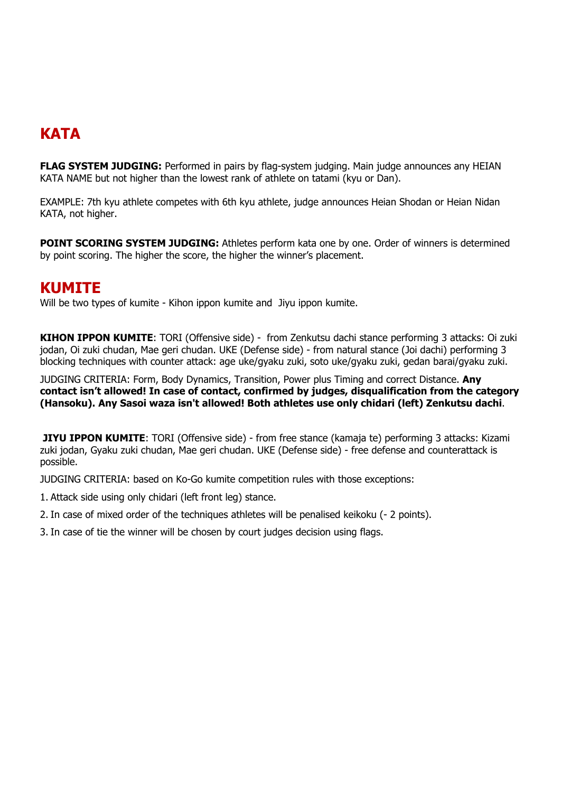## **KATA**

**FLAG SYSTEM JUDGING:** Performed in pairs by flag-system judging. Main judge announces any HEIAN KATA NAME but not higher than the lowest rank of athlete on tatami (kyu or Dan).

EXAMPLE: 7th kyu athlete competes with 6th kyu athlete, judge announces Heian Shodan or Heian Nidan KATA, not higher.

**POINT SCORING SYSTEM JUDGING:** Athletes perform kata one by one. Order of winners is determined by point scoring. The higher the score, the higher the winner's placement.

### **KUMITE**

Will be two types of kumite - Kihon ippon kumite and Jiyu ippon kumite.

**KIHON IPPON KUMITE**: TORI (Offensive side) - from Zenkutsu dachi stance performing 3 attacks: Oi zuki jodan, Oi zuki chudan, Mae geri chudan. UKE (Defense side) - from natural stance (Joi dachi) performing 3 blocking techniques with counter attack: age uke/gyaku zuki, soto uke/gyaku zuki, gedan barai/gyaku zuki.

JUDGING CRITERIA: Form, Body Dynamics, Transition, Power plus Timing and correct Distance. **Any contact isn't allowed! In case of contact, confirmed by judges, disqualification from the category (Hansoku). Any Sasoi waza isn't allowed! Both athletes use only chidari (left) Zenkutsu dachi**.

**JIYU IPPON KUMITE:** TORI (Offensive side) - from free stance (kamaja te) performing 3 attacks: Kizami zuki jodan, Gyaku zuki chudan, Mae geri chudan. UKE (Defense side) - free defense and counterattack is possible.

JUDGING CRITERIA: based on Ko-Go kumite competition rules with those exceptions:

1. Attack side using only chidari (left front leg) stance.

2. In case of mixed order of the techniques athletes will be penalised keikoku (- 2 points).

3. In case of tie the winner will be chosen by court judges decision using flags.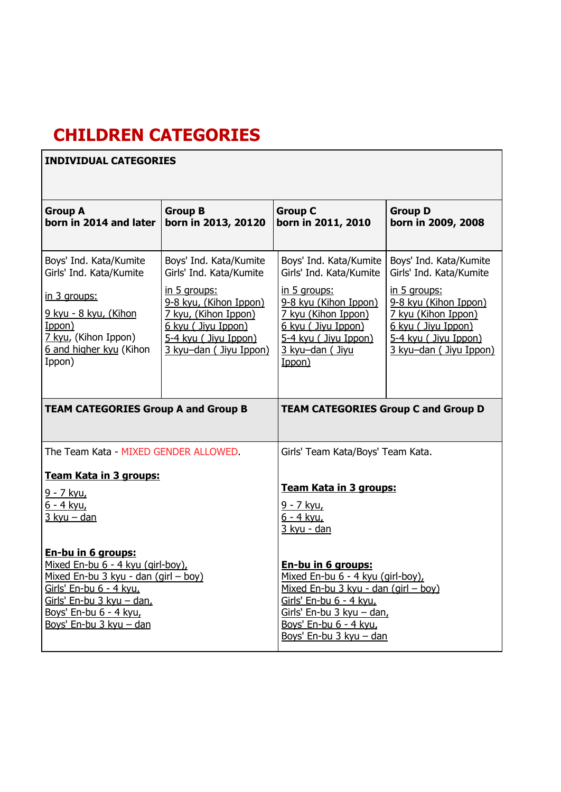# **CHILDREN CATEGORIES**

### **INDIVIDUAL CATEGORIES**

| <b>Group A</b>                                                                                               | <b>Group B</b>                                                                                                                         | <b>Group C</b>                                                                                                                          | <b>Group D</b>                                                                                                                       |
|--------------------------------------------------------------------------------------------------------------|----------------------------------------------------------------------------------------------------------------------------------------|-----------------------------------------------------------------------------------------------------------------------------------------|--------------------------------------------------------------------------------------------------------------------------------------|
| born in 2014 and later                                                                                       | born in 2013, 20120                                                                                                                    | born in 2011, 2010                                                                                                                      | born in 2009, 2008                                                                                                                   |
| Boys' Ind. Kata/Kumite                                                                                       | Boys' Ind. Kata/Kumite                                                                                                                 | Boys' Ind. Kata/Kumite                                                                                                                  | Boys' Ind. Kata/Kumite                                                                                                               |
| Girls' Ind. Kata/Kumite                                                                                      | Girls' Ind. Kata/Kumite                                                                                                                | Girls' Ind. Kata/Kumite                                                                                                                 | Girls' Ind. Kata/Kumite                                                                                                              |
| in 3 groups:<br>9 kyu - 8 kyu, (Kihon<br>Ippon)<br>7 kyu, (Kihon Ippon)<br>6 and higher kyu (Kihon<br>Ippon) | in 5 groups:<br>9-8 kyu, (Kihon Ippon)<br>7 kyu, (Kihon Ippon)<br>6 kyu (Jiyu Ippon)<br>5-4 kyu (Jiyu Ippon)<br>3 kyu-dan (Jiyu Ippon) | in 5 groups:<br>9-8 kyu (Kihon Ippon)<br>7 kyu (Kihon Ippon)<br>6 kyu (Jiyu Ippon)<br>5-4 kyu (Jiyu Ippon)<br>3 kyu-dan (Jiyu<br>Ippon) | in 5 groups:<br>9-8 kyu (Kihon Ippon)<br>7 kyu (Kihon Ippon)<br>6 kyu (Jiyu Ippon)<br>5-4 kyu (Jiyu Ippon)<br>3 kyu-dan (Jiyu Ippon) |
| <b>TEAM CATEGORIES Group A and Group B</b>                                                                   |                                                                                                                                        | <b>TEAM CATEGORIES Group C and Group D</b>                                                                                              |                                                                                                                                      |
| The Team Kata - MIXED GENDER ALLOWED.                                                                        |                                                                                                                                        | Girls' Team Kata/Boys' Team Kata.                                                                                                       |                                                                                                                                      |
| Team Kata in 3 groups:                                                                                       |                                                                                                                                        | Team Kata in 3 groups:                                                                                                                  |                                                                                                                                      |
| <u>9 - 7 kyu, </u>                                                                                           |                                                                                                                                        | 9 - 7 kyu,                                                                                                                              |                                                                                                                                      |
| 6 - 4 kyu,                                                                                                   |                                                                                                                                        | 6 - 4 kyu,                                                                                                                              |                                                                                                                                      |
| 3 kyu – dan                                                                                                  |                                                                                                                                        | 3 kyu - dan                                                                                                                             |                                                                                                                                      |
| En-bu in 6 groups:                                                                                           |                                                                                                                                        | En-bu in 6 groups:                                                                                                                      |                                                                                                                                      |
| Mixed En-bu 6 - 4 kyu (girl-boy),                                                                            |                                                                                                                                        | Mixed En-bu 6 - 4 kyu (girl-boy),                                                                                                       |                                                                                                                                      |
| Mixed En-bu 3 kyu - dan (girl - boy)                                                                         |                                                                                                                                        | Mixed En-bu 3 kyu - dan (girl - boy)                                                                                                    |                                                                                                                                      |
| Girls' En-bu 6 - 4 kyu,                                                                                      |                                                                                                                                        | Girls' En-bu 6 - 4 kyu,                                                                                                                 |                                                                                                                                      |
| Girls' En-bu 3 kyu – dan,                                                                                    |                                                                                                                                        | Girls' En-bu 3 kyu - dan,                                                                                                               |                                                                                                                                      |
| Boys' En-bu 6 - 4 kyu,                                                                                       |                                                                                                                                        | Boys' En-bu 6 - 4 kyu,                                                                                                                  |                                                                                                                                      |
| Boys' En-bu 3 kyu - dan                                                                                      |                                                                                                                                        | Boys' En-bu 3 kyu - dan                                                                                                                 |                                                                                                                                      |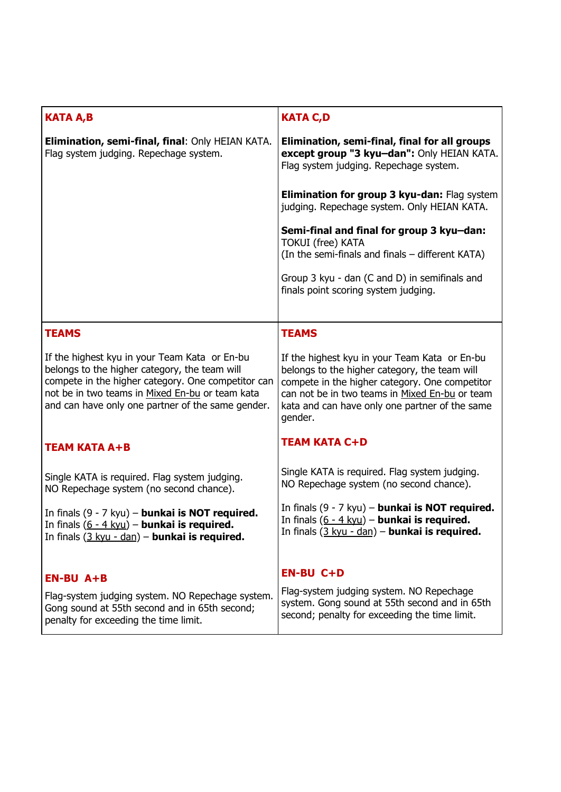| <b>KATA A,B</b>                                                                                                                                                                                                                                              | <b>KATA C,D</b>                                                                                                                                                                                                                                                 |  |
|--------------------------------------------------------------------------------------------------------------------------------------------------------------------------------------------------------------------------------------------------------------|-----------------------------------------------------------------------------------------------------------------------------------------------------------------------------------------------------------------------------------------------------------------|--|
| Elimination, semi-final, final: Only HEIAN KATA.<br>Flag system judging. Repechage system.                                                                                                                                                                   | Elimination, semi-final, final for all groups<br>except group "3 kyu-dan": Only HEIAN KATA.<br>Flag system judging. Repechage system.                                                                                                                           |  |
|                                                                                                                                                                                                                                                              | Elimination for group 3 kyu-dan: Flag system<br>judging. Repechage system. Only HEIAN KATA.                                                                                                                                                                     |  |
|                                                                                                                                                                                                                                                              | Semi-final and final for group 3 kyu-dan:<br><b>TOKUI</b> (free) KATA<br>(In the semi-finals and finals - different KATA)                                                                                                                                       |  |
|                                                                                                                                                                                                                                                              | Group 3 kyu - dan (C and D) in semifinals and<br>finals point scoring system judging.                                                                                                                                                                           |  |
| <b>TEAMS</b>                                                                                                                                                                                                                                                 | <b>TEAMS</b>                                                                                                                                                                                                                                                    |  |
| If the highest kyu in your Team Kata or En-bu<br>belongs to the higher category, the team will<br>compete in the higher category. One competitor can<br>not be in two teams in Mixed En-bu or team kata<br>and can have only one partner of the same gender. | If the highest kyu in your Team Kata or En-bu<br>belongs to the higher category, the team will<br>compete in the higher category. One competitor<br>can not be in two teams in Mixed En-bu or team<br>kata and can have only one partner of the same<br>gender. |  |
| <b>TEAM KATA A+B</b>                                                                                                                                                                                                                                         | <b>TEAM KATA C+D</b>                                                                                                                                                                                                                                            |  |
| Single KATA is required. Flag system judging.<br>NO Repechage system (no second chance).                                                                                                                                                                     | Single KATA is required. Flag system judging.<br>NO Repechage system (no second chance).                                                                                                                                                                        |  |
| In finals $(9 - 7 \text{ kyu}) -$ bunkai is NOT required.<br>In finals $(6 - 4 kyu)$ – bunkai is required.<br>In finals $(3 \text{ kyu} - \text{dan}) -$ bunkai is required.                                                                                 | In finals $(9 - 7 kyu) -$ bunkai is NOT required.<br>In finals $(6 - 4 kyu)$ – <b>bunkai is required.</b><br>In finals (3 kyu - dan) - bunkai is required.                                                                                                      |  |
| $EN-BU$ $A+B$                                                                                                                                                                                                                                                | <b>EN-BU C+D</b>                                                                                                                                                                                                                                                |  |
| Flag-system judging system. NO Repechage system.<br>Gong sound at 55th second and in 65th second;<br>penalty for exceeding the time limit.                                                                                                                   | Flag-system judging system. NO Repechage<br>system. Gong sound at 55th second and in 65th<br>second; penalty for exceeding the time limit.                                                                                                                      |  |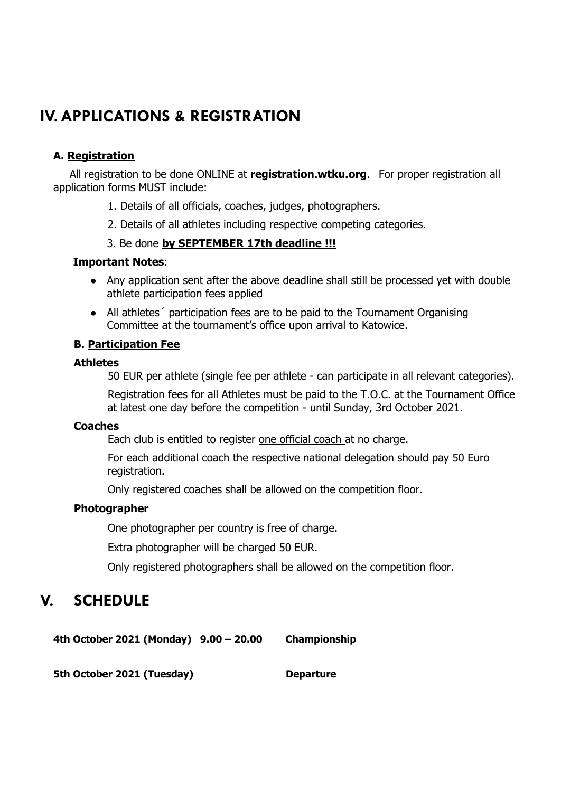## **IV.APPLICATIONS & REGISTRATION**

#### **A. Registration**

All registration to be done ONLINE at **registration.wtku.org**. For proper registration all application forms MUST include:

- 1. Details of all officials, coaches, judges, photographers.
- 2. Details of all athletes including respective competing categories.

#### 3. Be done **by SEPTEMBER 17th deadline !!!**

#### **Important Notes**:

- Any application sent after the above deadline shall still be processed yet with double athlete participation fees applied
- All athletes´ participation fees are to be paid to the Tournament Organising Committee at the tournament's office upon arrival to Katowice.

#### **B. Participation Fee**

#### **Athletes**

50 EUR per athlete (single fee per athlete - can participate in all relevant categories).

Registration fees for all Athletes must be paid to the T.O.C. at the Tournament Office at latest one day before the competition - until Sunday, 3rd October 2021.

#### **Coaches**

Each club is entitled to register one official coach at no charge.

For each additional coach the respective national delegation should pay 50 Euro registration.

Only registered coaches shall be allowed on the competition floor.

#### **Photographer**

One photographer per country is free of charge.

Extra photographer will be charged 50 EUR.

Only registered photographers shall be allowed on the competition floor.

## **V. SCHEDULE**

**4th October 2021 (Monday) 9.00 – 20.00 Championship**

**5th October 2021 (Tuesday) Departure**